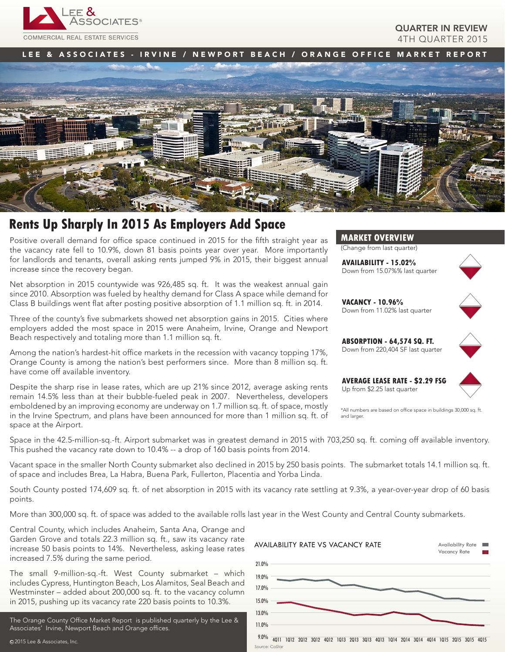

#### QUARTER IN REVIEW 4TH QUARTER 2015

LEE & ASSOCIATES - IRVINE / NEWPORT BEACH / ORANGE OFFICE MARKET REPORT



## **Rents Up Sharply In 2015 As Employers Add Space**

Positive overall demand for office space continued in 2015 for the fifth straight year as the vacancy rate fell to 10.9%, down 81 basis points year over year. More importantly for landlords and tenants, overall asking rents jumped 9% in 2015, their biggest annual increase since the recovery began.

Net absorption in 2015 countywide was 926,485 sq. ft. It was the weakest annual gain since 2010. Absorption was fueled by healthy demand for Class A space while demand for Class B buildings went flat after posting positive absorption of 1.1 million sq. ft. in 2014.

Three of the county's five submarkets showed net absorption gains in 2015. Cities where employers added the most space in 2015 were Anaheim, Irvine, Orange and Newport Beach respectively and totaling more than 1.1 million sq. ft.

Among the nation's hardest-hit office markets in the recession with vacancy topping 17%, Orange County is among the nation's best performers since. More than 8 million sq. ft. have come off available inventory.

Despite the sharp rise in lease rates, which are up 21% since 2012, average asking rents remain 14.5% less than at their bubble-fueled peak in 2007. Nevertheless, developers emboldened by an improving economy are underway on 1.7 million sq. ft. of space, mostly in the Irvine Spectrum, and plans have been announced for more than 1 million sq. ft. of space at the Airport.

**MARKET OVERVIEW**

(Change from last quarter)

**AVAILABILITY - 15.02%** Down from 15.07%% last quarter



**VACANCY - 10.96%** Down from 11.02% last quarter



**ABSORPTION - 64,574 SQ. FT.** Down from 220,404 SF last quarter

**AVERAGE LEASE RATE - \$2.29 FSG** Up from \$2.25 last quarter



\*All numbers are based on office space in buildings 30,000 sq. ft. and larger.

Space in the 42.5-million-sq.-ft. Airport submarket was in greatest demand in 2015 with 703,250 sq. ft. coming off available inventory. This pushed the vacancy rate down to 10.4% -- a drop of 160 basis points from 2014.

Vacant space in the smaller North County submarket also declined in 2015 by 250 basis points. The submarket totals 14.1 million sq. ft. of space and includes Brea, La Habra, Buena Park, Fullerton, Placentia and Yorba Linda.

South County posted 174,609 sq. ft. of net absorption in 2015 with its vacancy rate settling at 9.3%, a year-over-year drop of 60 basis points.

More than 300,000 sq. ft. of space was added to the available rolls last year in the West County and Central County submarkets.

Central County, which includes Anaheim, Santa Ana, Orange and Garden Grove and totals 22.3 million sq. ft., saw its vacancy rate increase 50 basis points to 14%. Nevertheless, asking lease rates increased 7.5% during the same period.

The small 9-million-sq.-ft. West County submarket – which includes Cypress, Huntington Beach, Los Alamitos, Seal Beach and Westminster – added about 200,000 sq. ft. to the vacancy column in 2015, pushing up its vacancy rate 220 basis points to 10.3%.

The Orange County Office Market Report is published quarterly by the Lee & Associates' Irvine, Newport Beach and Orange offices.

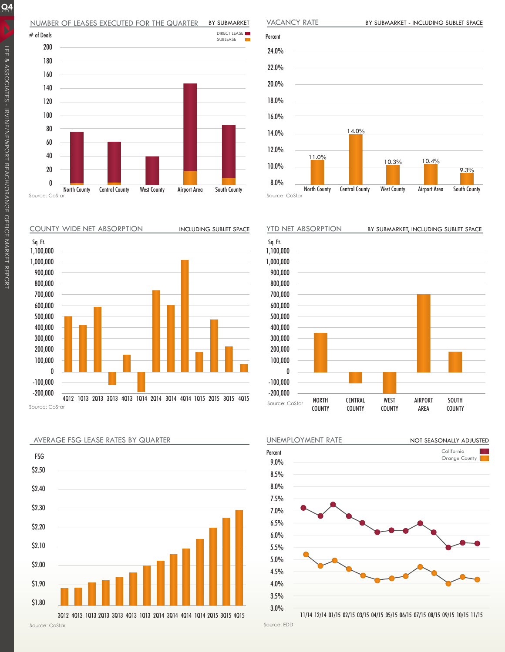#### NUMBER OF LEASES EXECUTED FOR THE QUARTER BY SUBMARKET



COUNTY WIDE NET ABSORPTION







Percent 24.0% 22.0% 20.0% 18.0% 16.0% 14.0% 12.0% 10.0% 8.0% North County Central County West County Airport Area South County Source: CoStar 11.0% 10.3% 14.0% 9.3% 10.4%







 $Q<sub>2015</sub>$ 

VACANCY RATE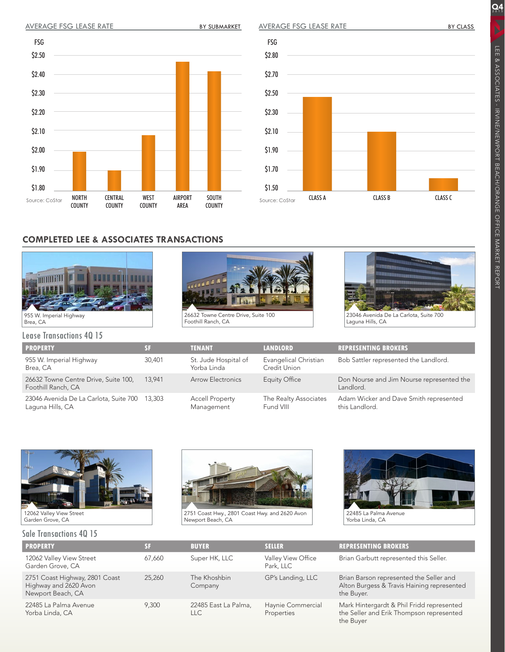BY SUBMARKET

AVERAGE FSG LEASE RATE

 $\overline{Q4}$ 

### **COMPLETED LEE & ASSOCIATES TRANSACTIONS**

CENTRAL COUNTY

WEST COUNTY AIRPORT AREA

SOUTH COUNTY



NORTH COUNTY

Source: CoStar

\$2.50

FSG

\$2.40

\$2.30

\$2.20

\$2.10

\$2.00

\$1.90

\$1.80

26632 Towne Centre Drive, Suite 100

Foothill Ranch, CA



Laguna Hills, CA

Lease Transactions 4Q 15

| <b>PROPERTY</b>                                            | 81     |
|------------------------------------------------------------|--------|
| 955 W. Imperial Highway<br>Brea, CA                        | 30.401 |
| 26632 Towne Centre Drive, Suite 100,<br>Foothill Ranch, CA | 13.941 |
| 23046 Avenida De La Carlota, Suite 700<br>Laguna Hills, CA | 13,303 |

| <b>PROPERTY</b>                                                   | <b>SF</b> | <b>TENANT</b>                        | <b>LANDLORD</b>                       | <b>REPRESENTING BROKERS</b>                              |
|-------------------------------------------------------------------|-----------|--------------------------------------|---------------------------------------|----------------------------------------------------------|
| 955 W. Imperial Highway<br>Brea, CA                               | 30,401    | St. Jude Hospital of<br>Yorba Linda  | Evangelical Christian<br>Credit Union | Bob Sattler represented the Landlord.                    |
| 26632 Towne Centre Drive, Suite 100,<br>Foothill Ranch, CA        | 13.941    | <b>Arrow Electronics</b>             | Equity Office                         | Don Nourse and Jim Nourse represented the<br>Landlord.   |
| 23046 Avenida De La Carlota, Suite 700 13,303<br>Laguna Hills, CA |           | <b>Accell Property</b><br>Management | The Realty Associates<br>Fund VIII    | Adam Wicker and Dave Smith represented<br>this Landlord. |

Source: CoStar

\$2.80

FSG

\$2.70

\$2.50

\$2.30

\$2.10

\$1.90

\$1.70

\$1.50





# Sale Transactions 4Q 15



2751 Coast Hwy., 2801 Coast Hwy. and 2620 Avon Newport Beach, CA



Yorba Linda, CA

| <b>PROPERTY</b>                                                              | <b>SF</b> | <b>BUYER</b>                       | <b>SELLER</b>                   | <b>REPRESENTING BROKERS</b>                                                                         |  |  |
|------------------------------------------------------------------------------|-----------|------------------------------------|---------------------------------|-----------------------------------------------------------------------------------------------------|--|--|
| 12062 Valley View Street<br>Garden Grove, CA                                 | 67,660    | Super HK, LLC                      | Valley View Office<br>Park, LLC | Brian Garbutt represented this Seller.                                                              |  |  |
| 2751 Coast Highway, 2801 Coast<br>Highway and 2620 Avon<br>Newport Beach, CA | 25,260    | The Khoshbin<br>Company            | GP's Landing, LLC               | Brian Barson represented the Seller and<br>Alton Burgess & Travis Haining represented<br>the Buyer. |  |  |
| 22485 La Palma Avenue<br>Yorba Linda, CA                                     | 9,300     | 22485 East La Palma,<br><b>LLC</b> | Haynie Commercial<br>Properties | Mark Hintergardt & Phil Fridd represented<br>the Seller and Erik Thompson represented<br>the Buyer  |  |  |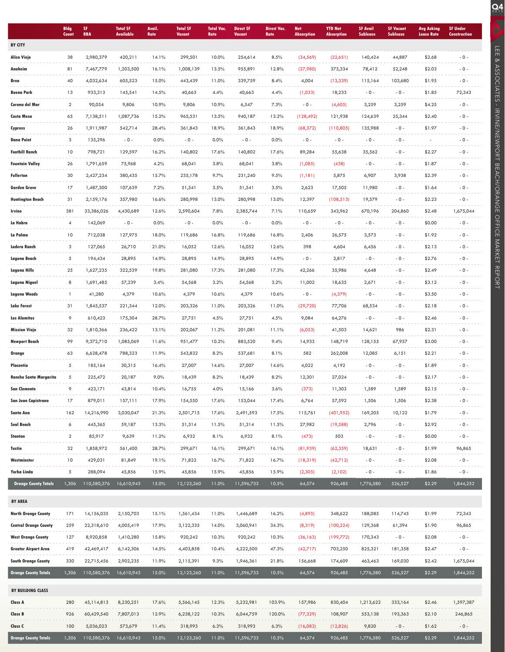|                              | <b>Bldg</b><br>Count | SF<br><b>RBA</b> | <b>Total SF</b><br><b>Available</b> | Avail.<br>Rate | <b>Total SF</b><br><b>Vacant</b> | <b>Total Vac.</b><br>Rate | <b>Direct SF</b><br>Vacant | <b>Direct Vac.</b><br>Rate | <b>Net</b><br><b>Absorption</b> | <b>YTD Net</b><br><b>Absorption</b> | <b>SF Avail</b><br><b>Sublease</b> | <b>SF Vacant</b><br><b>Sublease</b> | <b>Avg Asking</b><br><b>Lease Rate</b> | <b>SF Under</b><br><b>Construction</b> |
|------------------------------|----------------------|------------------|-------------------------------------|----------------|----------------------------------|---------------------------|----------------------------|----------------------------|---------------------------------|-------------------------------------|------------------------------------|-------------------------------------|----------------------------------------|----------------------------------------|
| <b>BY CITY</b>               |                      |                  |                                     |                |                                  |                           |                            |                            |                                 |                                     |                                    |                                     |                                        |                                        |
| <b>Aliso Viejo</b>           | 38                   | 2,980,379        | 420,211                             | 14.1%          | 299,501                          | 10.0%                     | 254,614                    | 8.5%                       | (34, 569)                       | (22,651)                            | 140,424                            | 44,887                              | \$2.68                                 | $-0 -$                                 |
| Anaheim                      | 81                   | 7,467,779        | 1,203,500                           | 16.1%          | 1,008,139                        | 13.5%                     | 955,891                    | 12.8%                      | (27,980)                        | 373,334                             | 78,412                             | 52,248                              | \$2.03                                 | $-0-$                                  |
| Brea                         | 40                   | 4,032,634        | 605,523                             | 15.0%          | 443,439                          | 11.0%                     | 339,759                    | 8.4%                       | 4,004                           | (13, 339)                           | 115,164                            | 103,680                             | \$1.95                                 | $-0 -$                                 |
| <b>Buena Park</b>            | 13                   | 933,313          | 145,541                             | 14.5%          | 40,663                           | 4.4%                      | 40,663                     | 4.4%                       | (1,033)                         | 18,233                              | $-0 -$                             | $-0 -$                              | \$1.85                                 | 72,343                                 |
| Corona del Mar               | $\overline{2}$       | 90,054           | 9,806                               | 10.9%          | 9,806                            | 10.9%                     | 6,547                      | 7.3%                       | $-0 -$                          | (4,605)                             | 3,259                              | 3,259                               | \$4.25                                 | $-0-$                                  |
| Costa Mesa                   | 65                   | 7,138,511        | 1,087,736                           | 15.2%          | 965,531                          | 13.5%                     | 940,187                    | 13.2%                      | (128, 492)                      | 121,938                             | 124,639                            | 25,344                              | \$2.40                                 | $-0 -$                                 |
| Cypress                      | 26                   | 1,911,987        | 542,714                             | 28.4%          | 361,843                          | 18.9%                     | 361,843                    | 18.9%                      | (68, 372)                       | (110,805)                           | 135,988                            | $-0 -$                              | \$1.97                                 | $-0 -$                                 |
| <b>Dana Point</b>            | 3                    | 135,296          | $-0 -$                              | 0.0%           | $-0 -$                           | 0.0%                      | $-0 -$                     | 0.0%                       | $-0 -$                          | $-0 -$                              | $-0 -$                             | $-0 -$                              |                                        | $-0 -$                                 |
| <b>Foothill Ranch</b>        | 10                   | 798,721          | 129,597                             | 16.2%          | 140,802                          | 17.6%                     | 140,802                    | 17.6%                      | 89,284                          | 55,638                              | 35,562                             | $-0 -$                              | \$2.27                                 | $-0-$                                  |
| <b>Fountain Valley</b>       | 26                   | 1,791,659        | 75,968                              | 4.2%           | 68,041                           | 3.8%                      | 68,041                     | 3.8%                       | (1,085)                         | (438)                               | $-0 -$                             | $-0 -$                              | \$1.87                                 | $-0-$                                  |
| <b>Fullerton</b>             | 30                   | 2,427,234        | 380,435                             | 15.7%          | 235,178                          | 9.7%                      | 231,240                    | 9.5%                       | (1, 181)                        | 5,875                               | 6,907                              | 3,938                               | \$2.39                                 | $-0 -$                                 |
| <b>Garden Grove</b>          | 17                   | 1,487,300        | 107,639                             | 7.2%           | 51,541                           | 3.5%                      | 51,541                     | 3.5%                       | 2,623                           | 17,505                              | 11,980                             | $-0 -$                              | \$1.64                                 | $-0-$                                  |
| <b>Huntington Beach</b>      | 31                   | 2,159,176        | 357,980                             | 16.6%          | 280,998                          | 13.0%                     | 280,998                    | 13.0%                      | 12,397                          | (108, 513)                          | 19,579                             | $-0 -$                              | \$2.23                                 | $-0 -$                                 |
| Irvine                       | 381                  | 33,386,026       | 4,430,689                           | 12.6%          | 2,590,604                        | 7.8%                      | 2,385,744                  | 7.1%                       | 110,659                         | 343,962                             | 670,196                            | 204,860                             | \$2.48                                 | 1,675,044                              |
| La Habra                     | $\overline{4}$       | 142,069          | $-0 -$                              | 0.0%           | $-0 -$                           | 0.0%                      | $-0 -$                     | 0.0%                       | $-0 -$                          | $-0-$                               | $-0-$                              | $-0 -$                              | \$0.00                                 | $-0 -$                                 |
| La Palma                     | 10                   | 712,038          | 127,975                             | 18.0%          | 119,686                          | 16.8%                     | 119,686                    | 16.8%                      | 2,406                           | 26,575                              | 3,573                              | $-0 -$                              | \$1.92                                 | $-0 -$                                 |
| Ladera Ranch                 | 3                    | 127,065          | 26,710                              | 21.0%          | 16,052                           | 12.6%                     | 16,052                     | 12.6%                      | 398                             | 4,604                               | 6,456                              | $-0 -$                              | \$2.13                                 | $-0 -$                                 |
| Laguna Beach                 | 5                    | 194,434          | 28,895                              | 14.9%          | 28,895                           | 14.9%                     | 28,895                     | 14.9%                      | $-0 -$                          | 2,817                               | $-0 -$                             | $-0 -$                              | \$2.76                                 | $-0 -$                                 |
| Laguna Hills                 | 25                   | 1,627,235        | 322,539                             | 19.8%          | 281,080                          | 17.3%                     | 281,080                    | 17.3%                      | 42,266                          | 35,986                              | 4,648                              | $-0 -$                              | \$2.49                                 | $-0 -$                                 |
| Laguna Niguel                | 8                    | 1,691,485        | 57,239                              | 3.4%           | 54,568                           | 3.2%                      | 54,568                     | 3.2%                       | 11,002                          | 18,635                              | 2,671                              | $-0 -$                              | \$3.12                                 | $-0-$                                  |
| Laguna Woods                 | 1                    | 41,280           | 4,379                               | 10.6%          | 4,379                            | 10.6%                     | 4,379                      | 10.6%                      | $-0 -$                          | (4, 379)                            | $-0 -$                             | $-0 -$                              | \$3.50                                 | $-0 -$                                 |
| <b>Lake Forest</b>           | 31                   | 1,845,537        | 221,344                             | 12.0%          | 203,326                          | 11.0%                     | 203,326                    | 11.0%                      | (29,720)                        | 77,706                              | 68,534                             | $-0 -$                              | \$2.18                                 | $-0-$                                  |
| Los Alamitos                 | 9                    | 610,423          | 175,304                             | 28.7%          | 27,751                           | 4.5%                      | 27,751                     | 4.5%                       | 9,084                           | 64,276                              | $-0 -$                             | $-0 -$                              | \$2.46                                 | $-0 -$                                 |
| <b>Mission Viejo</b>         | 32                   | 1,810,366        | 236,422                             | 13.1%          | 202,067                          | 11.2%                     | 201,081                    | 11.1%                      | (6,053)                         | 41,503                              | 14,621                             | 986                                 | \$2.31                                 | $-0-$                                  |
| <b>Newport Beach</b>         | 99                   | 9,372,710        | 1,085,069                           | 11.6%          | 951,477                          | 10.2%                     | 883,520                    | 9.4%                       | 14,933                          | 148,719                             | 128,155                            | 67,957                              | \$3.00                                 | $-0-$                                  |
| Orange                       | 63                   | 6,628,478        | 788,323                             | 11.9%          | 543,832                          | 8.2%                      | 537,681                    | 8.1%                       | 582                             | 262,008                             | 12,085                             | 6,151                               | \$2.21                                 | $-0 -$                                 |
| Placentia                    | 5                    | 185,164          | 30,315                              | 16.4%          | 27,007                           | 14.6%                     | 27,007                     | 14.6%                      | 4,022                           | 4,192                               | $-0 -$                             | $-0 -$                              | \$1.89                                 | $-0 -$                                 |
| Rancho Santa Margarita       | 5                    | 225,472          | 20,187                              | 9.0%           | 18,439                           | 8.2%                      | 18,439                     | 8.2%                       | 12,301                          | 27,024                              | $-0 -$                             | $-0 -$                              | \$2.17                                 | $-0 -$                                 |
| <b>San Clemente</b>          | 9                    | 423,171          | 43,814                              | 10.4%          | 16,755                           | 4.0%                      | 15,166                     | 3.6%                       | (373)                           | 11,303                              | 1,589                              | 1,589                               | \$2.15                                 | $-0 -$                                 |
| San Juan Capistrano          | 17                   | 879,011          | 157,111                             | 17.9%          | 154,550                          | 17.6%                     | 153,044                    | 17.4%                      | 6,764                           | 57,592                              | 1,506                              | 1,506                               | \$2.38                                 | $-0 -$                                 |
| Santa Ana                    | 162                  | 14,216,990       | 3,030,047                           | 21.3%          | 2,501,715                        | 17.6%                     | 2,491,593                  | 17.5%                      | 115,761                         | (401, 952)                          | 169,205                            | 10,122                              | \$1.79                                 | $-0 -$                                 |
| Seal Beach                   | 6                    | 445,365          | 59,187                              | 13.3%          | 51,314                           | 11.5%                     | 51,314                     | 11.5%                      | 27,982                          | (19, 588)                           | 2,796                              | $-0 -$                              | \$2.92                                 | $-0-$                                  |
| Stanton                      | $\overline{a}$       | 85,917           | 9,639                               | 11.2%          | 6,932                            | 8.1%                      | 6,932                      | 8.1%                       | (473)                           | 503                                 | $-0 -$                             | $-0 -$                              | \$0.00                                 | $-0 -$                                 |
| Tustin                       | 32                   | 1,858,972        | 561,400                             | 28.7%          | 299,671                          | 16.1%                     | 299,671                    | 16.1%                      | (81,939)                        | (62, 359)                           | 18,631                             | $-0 -$                              | \$1.99                                 | 96,865                                 |
| Westminster                  | 10                   | 429,031          | 81,849                              | 19.1%          | 71,822                           | 16.7%                     | 71,822                     | 16.7%                      | (18, 319)                       | (42,712)                            | $-0 -$                             | $-0 -$                              | \$2.08                                 | $-0 -$                                 |
| Yorba Linda                  | 5                    | 288,094          | 45,856                              | 15.9%          | 45,856                           | 15.9%                     | 45,856                     | 15.9%                      | (2,305)                         | (2,102)                             | $-0 -$                             | $-0 -$                              | \$1.86                                 | $-0 -$                                 |
| <b>Orange County Totals</b>  | 1,306                | 110,580,376      | 16,610,943                          | 15.0%          | 12,123,260                       | 11.0%                     | 11,596,733                 | 10.5%                      | 64,574                          | 926,485                             | 1,776,580                          | 526,527                             | \$2.29                                 | 1,844,252                              |
| <b>BY AREA</b>               |                      |                  |                                     |                |                                  |                           |                            |                            |                                 |                                     |                                    |                                     |                                        |                                        |
| <b>North Orange County</b>   | 171                  | 14,156,035       | 2,150,703                           | 15.1%          | 1,561,434                        | 11.0%                     | 1,446,689                  | 16.2%                      | (4,895)                         | 348,622                             | 188,085                            | 114,745                             | \$1.99                                 | 72,343                                 |
| <b>Central Orange County</b> | 259                  | 22,318,610       | 4,005,419                           | 17.9%          | 3,122,335                        | 14.0%                     | 3,060,941                  | 34.3%                      | (8, 319)                        | (100, 224)                          | 129,368                            | 61,394                              | \$1.90                                 | 96,865                                 |
| West Orange County           | 127                  | 8,920,858        | 1,410,280                           | 15.8%          | 920,242                          | 10.3%                     | 920,242                    | 10.3%                      | (36, 163)                       | (199,772)                           | 170,343                            | $-0 -$                              | \$2.08                                 | $-0 -$                                 |
| Greater Airport Area         | 419                  | 42,469,417       | 6,142,306                           | 14.5%          | 4,403,858                        | 10.4%                     | 4,222,500                  | 47.3%                      | (42,717)                        | 703,250                             | 825,321                            | 181,358                             | \$2.47                                 | $\sim 0$ -                             |
| <b>South Orange County</b>   | 330                  | 22,715,456       | 2,902,235                           | 11.9%          | 2,115,391                        | 9.3%                      | 1,946,361                  | 21.8%                      | 156,668                         | 174,609                             | 463,463                            | 169,030                             | \$2.42                                 | 1,675,044                              |
| <b>Orange County Totals</b>  | 1,306                | 110,580,376      | 16,610,943                          | 15.0%          | 12,123,260                       | 11.0%                     | 11,596,733                 | 10.5%                      | 64,574                          | 926,485                             | 1,776,580                          | 526,527                             | \$2.29                                 | 1,844,252                              |
|                              |                      |                  |                                     |                |                                  |                           |                            |                            |                                 |                                     |                                    |                                     |                                        |                                        |
| BY BUILDING CLASS            |                      |                  |                                     |                |                                  |                           |                            |                            |                                 |                                     |                                    |                                     |                                        |                                        |
| Class A                      | 280                  | 45,114,813       | 8,230,251                           | 17.6%          | 5,566,145                        | 12.3%                     | 5,232,981                  | 103.9%                     | 157,986                         | 830,404                             | 1,213,622                          | 333,164                             | \$2.46                                 | 1,597,387                              |
| Class B                      | 926                  | 60,429,540       | 7,807,013                           | 12.9%          | 6,238,122                        | 10.3%                     | 6,044,759                  | 120.0%                     | (77, 329)                       | 108,907                             | 553,138                            | 193,363                             | \$2.10                                 | 246,865                                |
| Class C                      | 100                  | 5,036,023        | 573,679                             | 11.4%          | 318,993                          | 6.3%                      | 318,993                    | 6.3%                       | (16,083)                        | (12,826)                            | 9,820                              | $-0 -$                              | \$1.62                                 | $-0 -$                                 |
| Orange County Totals         | 1,306                | 110,580,376      | 16,610,943                          | 15.0%          | 12,123,260                       | 11.0%                     | 11,596,733                 | 10.5%                      | 64,574                          | 926,485                             | 1,776,580                          | 526,527                             | \$2.29                                 | 1,844,252                              |